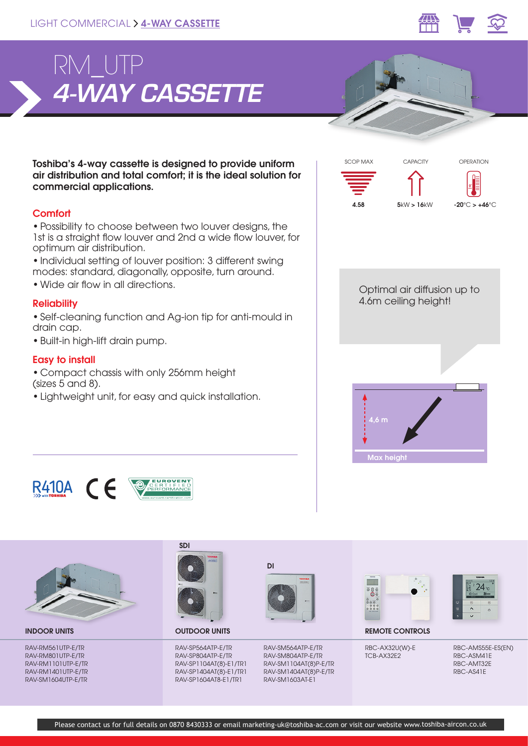



Toshiba's 4-way cassette is designed to provide uniform air distribution and total comfort; it is the ideal solution for commercial applications.

# **Comfort**

• Possibility to choose between two louver designs, the 1st is a straight flow louver and 2nd a wide flow louver, for optimum air distribution.

• Individual setting of louver position: 3 different swing modes: standard, diagonally, opposite, turn around.

• Wide air flow in all directions.

## **Reliability**

• Self-cleaning function and Ag-ion tip for anti-mould in drain cap.

• Built-in high-lift drain pump.

## Easy to install

• Compact chassis with only 256mm height (sizes 5 and 8).

• Lightweight unit, for easy and quick installation.







RAV-RM561UTP-E/TR RAV-RM801UTP-E/TR RAV-RM1101UTP-E/TR RAV-RM1401UTP-E/TR RAV-SM1604UTP-E/TR



OUTDOOR UNITS

RAV-SP564ATP-E/TR RAV-SP804ATP-E/TR RAV-SP1104AT(8)-E1/TR1 RAV-SP1404AT(8)-E1/TR1 RAV-SP1604AT8-E1/TR1



RAV-SM564ATP-E/TR RAV-SM804ATP-E/TR RAV-SM1104AT(8)P-E/TR RAV-SM1404AT(8)P-E/TR RAV-SM1603AT-E1





**INDOOR UNITS CONTROLS CONTROLS CONTROLS CONTROLS CONTROLS** 

RBC-AX32U(W)-E TCB-AX32E2

RBC-AMS55E-ES(EN) RBC-ASM41E RBC-AMT32E RBC-AS41E